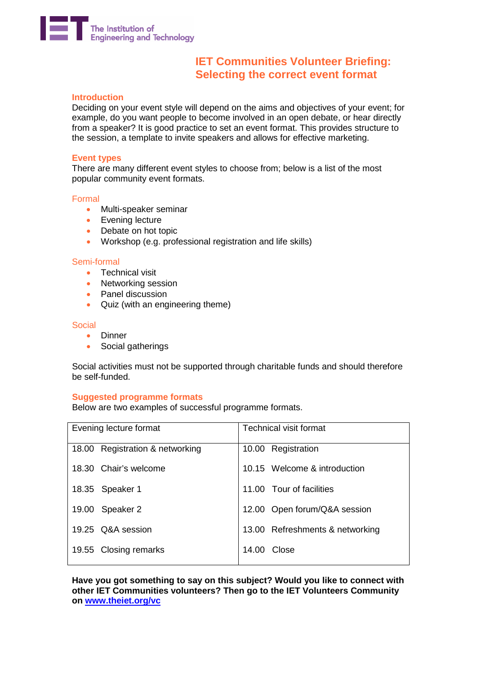

# **IET Communities Volunteer Briefing: Selecting the correct event format**

# **Introduction**

Deciding on your event style will depend on the aims and objectives of your event; for example, do you want people to become involved in an open debate, or hear directly from a speaker? It is good practice to set an event format. This provides structure to the session, a template to invite speakers and allows for effective marketing.

#### **Event types**

There are many different event styles to choose from; below is a list of the most popular community event formats.

# Formal

- Multi-speaker seminar
- Evening lecture
- Debate on hot topic
- Workshop (e.g. professional registration and life skills)

#### Semi-formal

- Technical visit
- Networking session
- Panel discussion
- Quiz (with an engineering theme)

#### **Social**

- Dinner
- Social gatherings

Social activities must not be supported through charitable funds and should therefore be self-funded.

# **Suggested programme formats**

Below are two examples of successful programme formats.

| Evening lecture format          | <b>Technical visit format</b>   |
|---------------------------------|---------------------------------|
| 18.00 Registration & networking | 10.00 Registration              |
| 18.30 Chair's welcome           | 10.15 Welcome & introduction    |
| 18.35 Speaker 1                 | 11.00 Tour of facilities        |
| 19.00 Speaker 2                 | 12.00 Open forum/Q&A session    |
| 19.25 Q&A session               | 13.00 Refreshments & networking |
| 19.55 Closing remarks           | 14.00 Close                     |

**Have you got something to say on this subject? Would you like to connect with other IET Communities volunteers? Then go to the IET Volunteers Community on [www.theiet.org/vc](http://www.theiet.org/vc)**